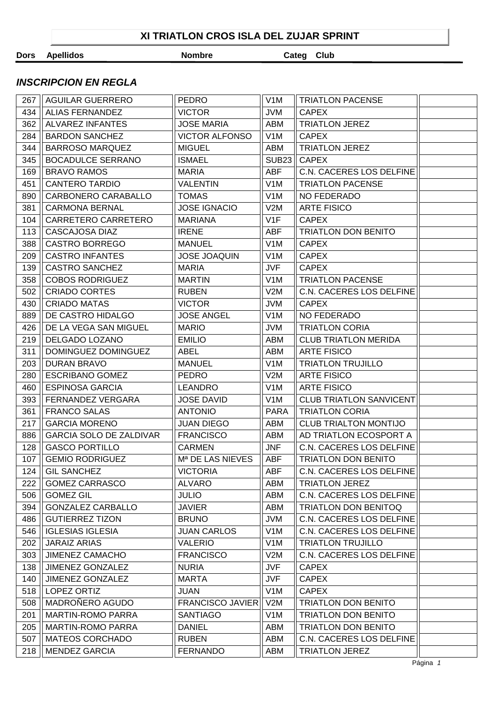## *INSCRIPCION EN REGLA*

| 267 | <b>AGUILAR GUERRERO</b>        | <b>PEDRO</b>            | V <sub>1</sub> M | <b>TRIATLON PACENSE</b>        |  |
|-----|--------------------------------|-------------------------|------------------|--------------------------------|--|
| 434 | <b>ALIAS FERNANDEZ</b>         | <b>VICTOR</b>           | <b>JVM</b>       | <b>CAPEX</b>                   |  |
| 362 | <b>ALVAREZ INFANTES</b>        | <b>JOSE MARIA</b>       | ABM              | <b>TRIATLON JEREZ</b>          |  |
| 284 | <b>BARDON SANCHEZ</b>          | <b>VICTOR ALFONSO</b>   | V <sub>1</sub> M | <b>CAPEX</b>                   |  |
| 344 | <b>BARROSO MARQUEZ</b>         | <b>MIGUEL</b>           | ABM              | <b>TRIATLON JEREZ</b>          |  |
| 345 | <b>BOCADULCE SERRANO</b>       | <b>ISMAEL</b>           | <b>SUB23</b>     | <b>CAPEX</b>                   |  |
| 169 | <b>BRAVO RAMOS</b>             | <b>MARIA</b>            | ABF              | C.N. CACERES LOS DELFINE       |  |
| 451 | <b>CANTERO TARDIO</b>          | <b>VALENTIN</b>         | V <sub>1</sub> M | <b>TRIATLON PACENSE</b>        |  |
| 890 | CARBONERO CARABALLO            | <b>TOMAS</b>            | V <sub>1</sub> M | NO FEDERADO                    |  |
| 381 | <b>CARMONA BERNAL</b>          | <b>JOSE IGNACIO</b>     | V2M              | <b>ARTE FISICO</b>             |  |
| 104 | CARRETERO CARRETERO            | <b>MARIANA</b>          | V1F              | <b>CAPEX</b>                   |  |
| 113 | CASCAJOSA DIAZ                 | <b>IRENE</b>            | ABF              | <b>TRIATLON DON BENITO</b>     |  |
| 388 | <b>CASTRO BORREGO</b>          | <b>MANUEL</b>           | V <sub>1</sub> M | <b>CAPEX</b>                   |  |
| 209 | <b>CASTRO INFANTES</b>         | <b>JOSE JOAQUIN</b>     | V <sub>1</sub> M | <b>CAPEX</b>                   |  |
| 139 | <b>CASTRO SANCHEZ</b>          | <b>MARIA</b>            | <b>JVF</b>       | <b>CAPEX</b>                   |  |
| 358 | <b>COBOS RODRIGUEZ</b>         | <b>MARTIN</b>           | V1M              | <b>TRIATLON PACENSE</b>        |  |
| 502 | <b>CRIADO CORTES</b>           | <b>RUBEN</b>            | V2M              | C.N. CACERES LOS DELFINE       |  |
| 430 | <b>CRIADO MATAS</b>            | <b>VICTOR</b>           | <b>JVM</b>       | <b>CAPEX</b>                   |  |
| 889 | DE CASTRO HIDALGO              | <b>JOSE ANGEL</b>       | V <sub>1</sub> M | NO FEDERADO                    |  |
| 426 | DE LA VEGA SAN MIGUEL          | <b>MARIO</b>            | <b>JVM</b>       | <b>TRIATLON CORIA</b>          |  |
| 219 | DELGADO LOZANO                 | <b>EMILIO</b>           | <b>ABM</b>       | <b>CLUB TRIATLON MERIDA</b>    |  |
| 311 | DOMINGUEZ DOMINGUEZ            | <b>ABEL</b>             | ABM              | <b>ARTE FISICO</b>             |  |
| 203 | <b>DURAN BRAVO</b>             | <b>MANUEL</b>           | V1M              | <b>TRIATLON TRUJILLO</b>       |  |
| 280 | <b>ESCRIBANO GOMEZ</b>         | <b>PEDRO</b>            | V2M              | <b>ARTE FISICO</b>             |  |
| 460 | <b>ESPINOSA GARCIA</b>         | <b>LEANDRO</b>          | V1M              | <b>ARTE FISICO</b>             |  |
| 393 | FERNANDEZ VERGARA              | <b>JOSE DAVID</b>       | V <sub>1</sub> M | <b>CLUB TRIATLON SANVICENT</b> |  |
| 361 | <b>FRANCO SALAS</b>            | <b>ANTONIO</b>          | <b>PARA</b>      | <b>TRIATLON CORIA</b>          |  |
| 217 | <b>GARCIA MORENO</b>           | <b>JUAN DIEGO</b>       | ABM              | <b>CLUB TRIALTON MONTIJO</b>   |  |
| 886 | <b>GARCIA SOLO DE ZALDIVAR</b> | <b>FRANCISCO</b>        | ABM              | AD TRIATLON ECOSPORT A         |  |
| 128 | <b>GASCO PORTILLO</b>          | <b>CARMEN</b>           | JNF              | C.N. CACERES LOS DELFINE       |  |
| 107 | <b>GEMIO RODRIGUEZ</b>         | Mª DE LAS NIEVES        | <b>ABF</b>       | <b>TRIATLON DON BENITO</b>     |  |
| 124 | <b>GIL SANCHEZ</b>             | <b>VICTORIA</b>         | <b>ABF</b>       | C.N. CACERES LOS DELFINE       |  |
| 222 | <b>GOMEZ CARRASCO</b>          | <b>ALVARO</b>           | ABM              | <b>TRIATLON JEREZ</b>          |  |
| 506 | <b>GOMEZ GIL</b>               | <b>JULIO</b>            | ABM              | C.N. CACERES LOS DELFINE       |  |
| 394 | <b>GONZALEZ CARBALLO</b>       | <b>JAVIER</b>           | ABM              | <b>TRIATLON DON BENITOQ</b>    |  |
| 486 | <b>GUTIERREZ TIZON</b>         | <b>BRUNO</b>            | <b>JVM</b>       | C.N. CACERES LOS DELFINE       |  |
| 546 | <b>IGLESIAS IGLESIA</b>        | <b>JUAN CARLOS</b>      | V <sub>1</sub> M | C.N. CACERES LOS DELFINE       |  |
| 202 | <b>JARAIZ ARIAS</b>            | <b>VALERIO</b>          | V1M              | <b>TRIATLON TRUJILLO</b>       |  |
| 303 | <b>JIMENEZ CAMACHO</b>         | <b>FRANCISCO</b>        | V2M              | C.N. CACERES LOS DELFINE       |  |
| 138 | <b>JIMENEZ GONZALEZ</b>        | <b>NURIA</b>            | JVF              | <b>CAPEX</b>                   |  |
| 140 | JIMENEZ GONZALEZ               | <b>MARTA</b>            | <b>JVF</b>       | <b>CAPEX</b>                   |  |
| 518 | LOPEZ ORTIZ                    | JUAN                    | V <sub>1</sub> M | <b>CAPEX</b>                   |  |
| 508 | MADROÑERO AGUDO                | <b>FRANCISCO JAVIER</b> | V2M              | <b>TRIATLON DON BENITO</b>     |  |
| 201 | <b>MARTIN-ROMO PARRA</b>       | <b>SANTIAGO</b>         | V1M              | <b>TRIATLON DON BENITO</b>     |  |
| 205 | <b>MARTIN-ROMO PARRA</b>       | <b>DANIEL</b>           | ABM              | <b>TRIATLON DON BENITO</b>     |  |
| 507 | <b>MATEOS CORCHADO</b>         | <b>RUBEN</b>            | ABM              | C.N. CACERES LOS DELFINE       |  |
| 218 | <b>MENDEZ GARCIA</b>           | <b>FERNANDO</b>         | ABM              | <b>TRIATLON JEREZ</b>          |  |